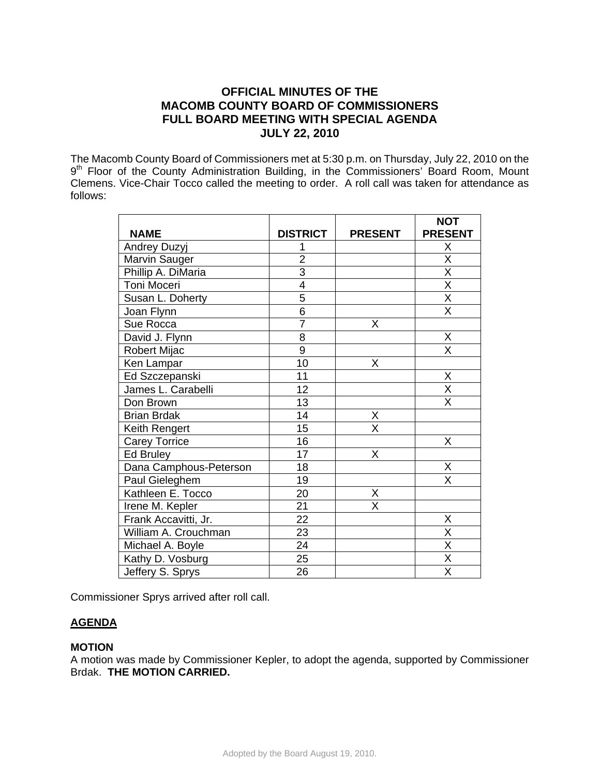# **OFFICIAL MINUTES OF THE MACOMB COUNTY BOARD OF COMMISSIONERS FULL BOARD MEETING WITH SPECIAL AGENDA JULY 22, 2010**

The Macomb County Board of Commissioners met at 5:30 p.m. on Thursday, July 22, 2010 on the 9<sup>th</sup> Floor of the County Administration Building, in the Commissioners' Board Room, Mount Clemens. Vice-Chair Tocco called the meeting to order. A roll call was taken for attendance as follows:

|                        |                 |                | <b>NOT</b>              |
|------------------------|-----------------|----------------|-------------------------|
| <b>NAME</b>            | <b>DISTRICT</b> | <b>PRESENT</b> | <b>PRESENT</b>          |
| <b>Andrey Duzyj</b>    |                 |                | X                       |
| Marvin Sauger          | $\overline{2}$  |                | $\overline{\mathsf{x}}$ |
| Phillip A. DiMaria     | $\overline{3}$  |                | $\overline{\mathsf{X}}$ |
| Toni Moceri            | $\overline{4}$  |                | $\overline{\mathsf{x}}$ |
| Susan L. Doherty       | 5               |                | $\overline{\mathsf{x}}$ |
| Joan Flynn             | 6               |                | $\overline{\mathsf{X}}$ |
| Sue Rocca              | $\overline{7}$  | X              |                         |
| David J. Flynn         | 8               |                | X                       |
| Robert Mijac           | 9               |                | X                       |
| Ken Lampar             | 10              | X              |                         |
| Ed Szczepanski         | 11              |                | X                       |
| James L. Carabelli     | 12              |                | $\overline{\mathsf{X}}$ |
| Don Brown              | 13              |                | Χ                       |
| <b>Brian Brdak</b>     | 14              | X              |                         |
| Keith Rengert          | 15              | X              |                         |
| <b>Carey Torrice</b>   | 16              |                | Χ                       |
| <b>Ed Bruley</b>       | 17              | X              |                         |
| Dana Camphous-Peterson | 18              |                | X                       |
| Paul Gieleghem         | 19              |                | X                       |
| Kathleen E. Tocco      | 20              | X              |                         |
| Irene M. Kepler        | $\overline{21}$ | X              |                         |
| Frank Accavitti, Jr.   | 22              |                | Χ                       |
| William A. Crouchman   | 23              |                | $\overline{\mathsf{x}}$ |
| Michael A. Boyle       | 24              |                | $\overline{\mathsf{x}}$ |
| Kathy D. Vosburg       | 25              |                | Χ                       |
| Jeffery S. Sprys       | 26              |                | $\overline{\mathsf{X}}$ |

Commissioner Sprys arrived after roll call.

# **AGENDA**

### **MOTION**

A motion was made by Commissioner Kepler, to adopt the agenda, supported by Commissioner Brdak. **THE MOTION CARRIED.**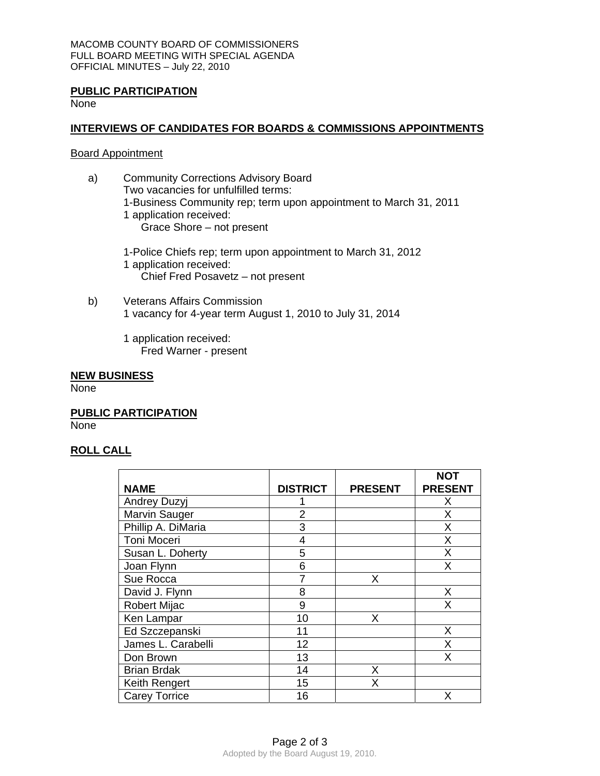### **PUBLIC PARTICIPATION**

None

### **INTERVIEWS OF CANDIDATES FOR BOARDS & COMMISSIONS APPOINTMENTS**

#### Board Appointment

- a) Community Corrections Advisory Board Two vacancies for unfulfilled terms: 1-Business Community rep; term upon appointment to March 31, 2011 1 application received: Grace Shore – not present
	- 1-Police Chiefs rep; term upon appointment to March 31, 2012 1 application received: Chief Fred Posavetz – not present
- b) Veterans Affairs Commission 1 vacancy for 4-year term August 1, 2010 to July 31, 2014
	- 1 application received: Fred Warner - present

### **NEW BUSINESS**

None

**PUBLIC PARTICIPATION** None

# **ROLL CALL**

|                      |                 |                | <b>NOT</b>     |
|----------------------|-----------------|----------------|----------------|
| <b>NAME</b>          | <b>DISTRICT</b> | <b>PRESENT</b> | <b>PRESENT</b> |
| Andrey Duzyj         |                 |                | X              |
| <b>Marvin Sauger</b> | $\overline{2}$  |                | X              |
| Phillip A. DiMaria   | 3               |                | X              |
| Toni Moceri          | 4               |                | X              |
| Susan L. Doherty     | 5               |                | Χ              |
| Joan Flynn           | 6               |                | Χ              |
| Sue Rocca            | 7               | х              |                |
| David J. Flynn       | 8               |                | Χ              |
| <b>Robert Mijac</b>  | 9               |                | Χ              |
| Ken Lampar           | 10              | х              |                |
| Ed Szczepanski       | 11              |                | X              |
| James L. Carabelli   | 12              |                | X              |
| Don Brown            | 13              |                | X              |
| <b>Brian Brdak</b>   | 14              | X              |                |
| Keith Rengert        | 15              | X              |                |
| <b>Carey Torrice</b> | 16              |                | x              |